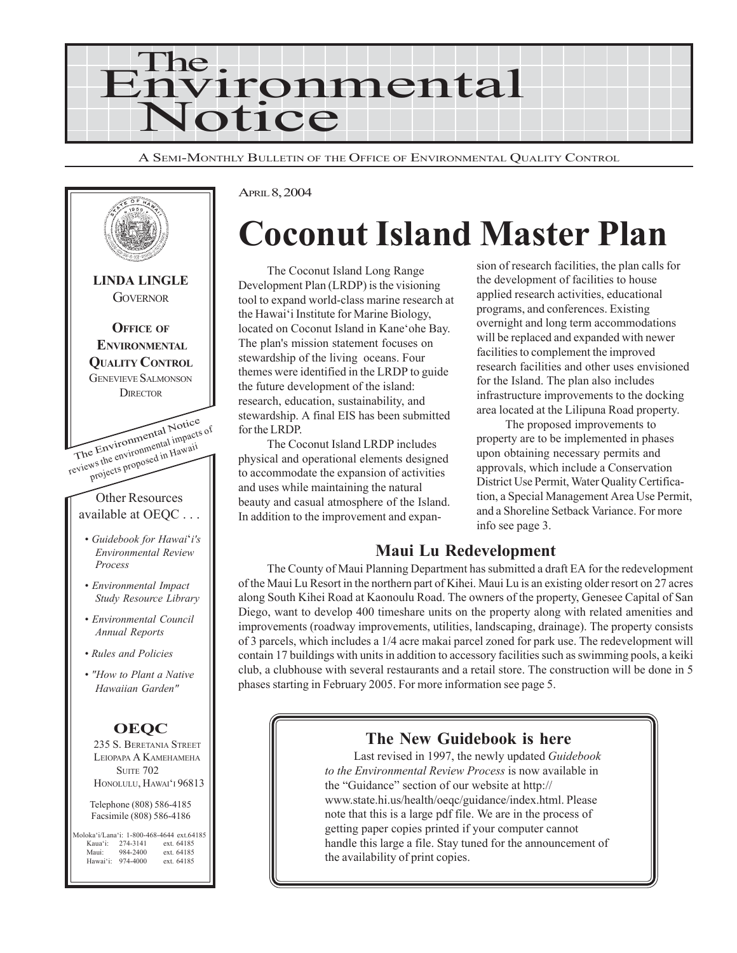

A SEMI-MONTHLY BULLETIN OF THE OFFICE OF ENVIRONMENTAL QUALITY CONTROL



APRIL 8, 2004

# **Coconut Island Master Plan**

The Coconut Island Long Range Development Plan (LRDP) is the visioning tool to expand world-class marine research at the Hawai'i Institute for Marine Biology, located on Coconut Island in Kane'ohe Bay. The plan's mission statement focuses on stewardship of the living oceans. Four themes were identified in the LRDP to guide the future development of the island: research, education, sustainability, and stewardship. A final EIS has been submitted for the LRDP.

The Coconut Island LRDP includes physical and operational elements designed to accommodate the expansion of activities and uses while maintaining the natural beauty and casual atmosphere of the Island. In addition to the improvement and expansion of research facilities, the plan calls for the development of facilities to house applied research activities, educational programs, and conferences. Existing overnight and long term accommodations will be replaced and expanded with newer facilities to complement the improved research facilities and other uses envisioned for the Island. The plan also includes infrastructure improvements to the docking area located at the Lilipuna Road property.

The proposed improvements to property are to be implemented in phases upon obtaining necessary permits and approvals, which include a Conservation District Use Permit, Water Quality Certification, a Special Management Area Use Permit, and a Shoreline Setback Variance. For more info see page 3.

### **Maui Lu Redevelopment**

The County of Maui Planning Department has submitted a draft EA for the redevelopment of the Maui Lu Resort in the northern part of Kihei. Maui Lu is an existing older resort on 27 acres along South Kihei Road at Kaonoulu Road. The owners of the property, Genesee Capital of San Diego, want to develop 400 timeshare units on the property along with related amenities and improvements (roadway improvements, utilities, landscaping, drainage). The property consists of 3 parcels, which includes a 1/4 acre makai parcel zoned for park use. The redevelopment will contain 17 buildings with units in addition to accessory facilities such as swimming pools, a keiki club, a clubhouse with several restaurants and a retail store. The construction will be done in 5 phases starting in February 2005. For more information see page 5.

#### **The New Guidebook is here**

Last revised in 1997, the newly updated *Guidebook to the Environmental Review Process* is now available in the "Guidance" section of our website at http:// www.state.hi.us/health/oeqc/guidance/index.html. Please note that this is a large pdf file. We are in the process of getting paper copies printed if your computer cannot handle this large a file. Stay tuned for the announcement of the availability of print copies.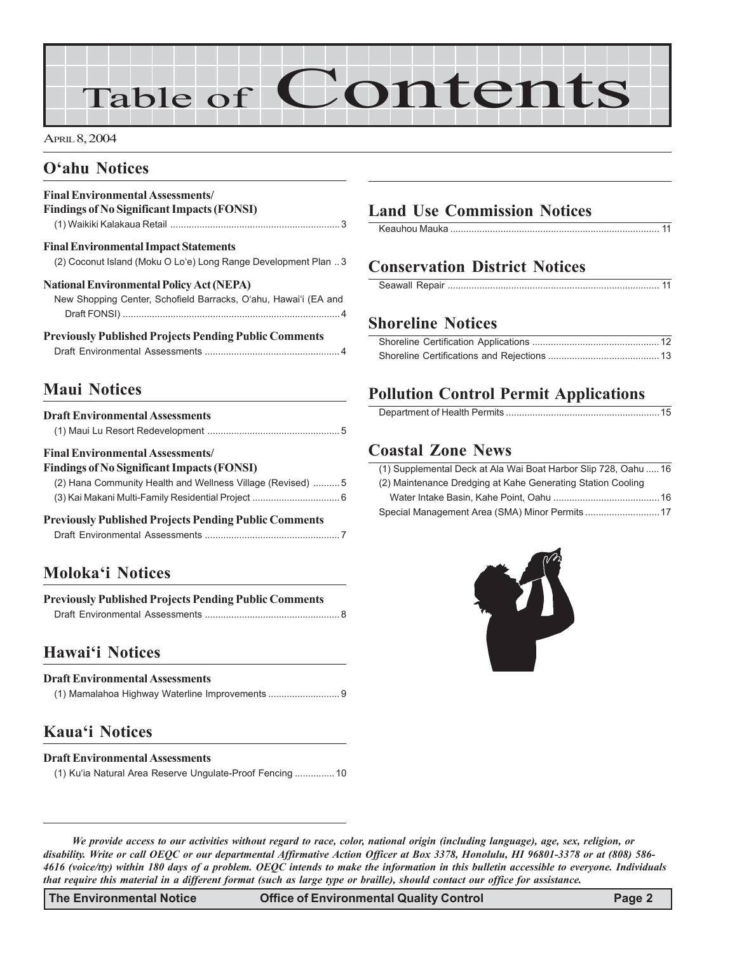# Table of Contents

APRIL 8, 2004

### **O'ahu Notices**

#### **Final Environmental Assessments/ Findings of No Significant Impacts (FONSI)**

| <b>Final Environmental Impact Statements</b>                   |  |
|----------------------------------------------------------------|--|
| (2) Coconut Island (Moku O Lo'e) Long Range Development Plan 3 |  |

#### **National Environmental Policy Act (NEPA)**

New Shopping Center, Schofield Barracks, O'ahu, Hawai'i (EA and Draft FONSI) ..................................................................................4

#### **Previously Published Projects Pending Public Comments**

|--|--|--|--|

# **Maui Notices**

| <b>Draft Environmental Assessments</b>                       |
|--------------------------------------------------------------|
| <b>Final Environmental Assessments</b>                       |
| <b>Findings of No Significant Impacts (FONSI)</b>            |
| (2) Hana Community Health and Wellness Village (Revised) 5   |
|                                                              |
| <b>Previously Published Projects Pending Public Comments</b> |
|                                                              |
|                                                              |
|                                                              |

### **Moloka'i Notices**

| <b>Previously Published Projects Pending Public Comments</b> |  |
|--------------------------------------------------------------|--|
|                                                              |  |

### **Hawai'i Notices**

#### **Draft Environmental Assessments**

### **Kaua'i Notices**

#### **Draft Environmental Assessments**

(1) Ku'ia Natural Area Reserve Ungulate-Proof Fencing ............... 10

### **Land Use Commission Notices**

# **Conservation District Notices**

### **Shoreline Notices**

### **Pollution Control Permit Applications**

|--|

### **Coastal Zone News**

| (1) Supplemental Deck at Ala Wai Boat Harbor Slip 728, Oahu  16 |
|-----------------------------------------------------------------|
| (2) Maintenance Dredging at Kahe Generating Station Cooling     |
|                                                                 |
|                                                                 |



*We provide access to our activities without regard to race, color, national origin (including language), age, sex, religion, or disability. Write or call OEQC or our departmental Affirmative Action Officer at Box 3378, Honolulu, HI 96801-3378 or at (808) 586- 4616 (voice/tty) within 180 days of a problem. OEQC intends to make the information in this bulletin accessible to everyone. Individuals that require this material in a different format (such as large type or braille), should contact our office for assistance.*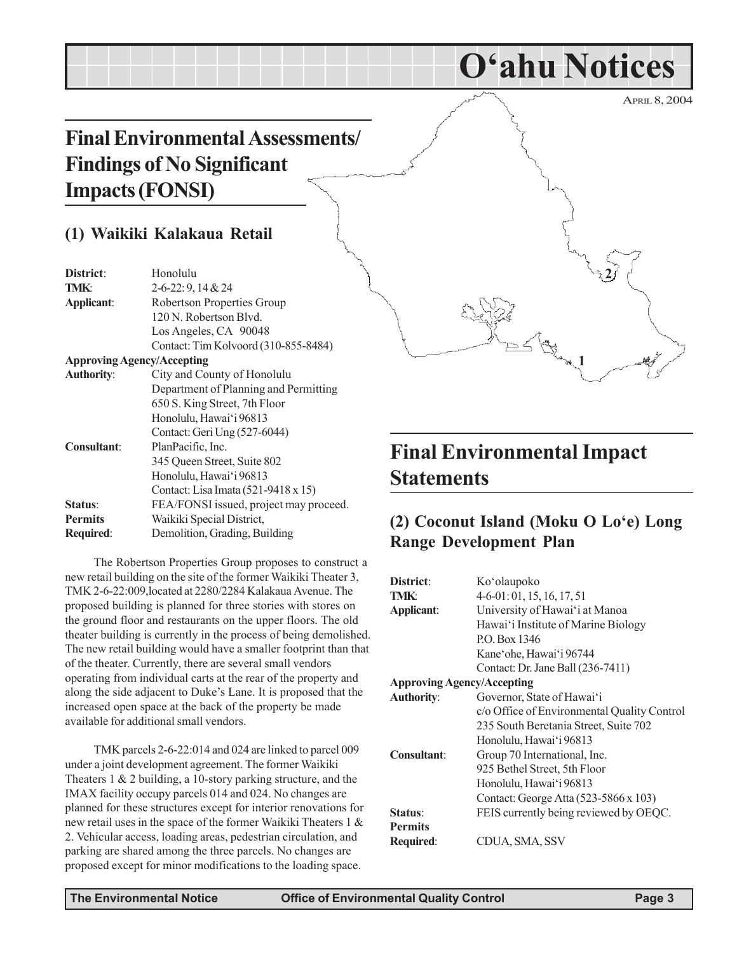# **Final Environmental Assessments/ Findings of No Significant Impacts (FONSI)**

### **(1) Waikiki Kalakaua Retail**

| District:                         | Honolulu                               |
|-----------------------------------|----------------------------------------|
| <b>TMK:</b>                       | 2-6-22: 9, 14 & 24                     |
| Applicant:                        | Robertson Properties Group             |
|                                   | 120 N. Robertson Blvd.                 |
|                                   | Los Angeles, CA 90048                  |
|                                   | Contact: Tim Kolvoord (310-855-8484)   |
| <b>Approving Agency/Accepting</b> |                                        |
| <b>Authority:</b>                 | City and County of Honolulu            |
|                                   | Department of Planning and Permitting  |
|                                   | 650 S. King Street, 7th Floor          |
|                                   | Honolulu, Hawai'i 96813                |
|                                   | Contact: Geri Ung (527-6044)           |
| <b>Consultant:</b>                | PlanPacific, Inc.                      |
|                                   | 345 Queen Street, Suite 802            |
|                                   | Honolulu, Hawai'i 96813                |
|                                   | Contact: Lisa Imata (521-9418 x 15)    |
| Status:                           | FEA/FONSI issued, project may proceed. |
| <b>Permits</b>                    | Waikiki Special District,              |
| Required:                         | Demolition, Grading, Building          |
|                                   |                                        |

The Robertson Properties Group proposes to construct a new retail building on the site of the former Waikiki Theater 3, TMK 2-6-22:009,located at 2280/2284 Kalakaua Avenue. The proposed building is planned for three stories with stores on the ground floor and restaurants on the upper floors. The old theater building is currently in the process of being demolished. The new retail building would have a smaller footprint than that of the theater. Currently, there are several small vendors operating from individual carts at the rear of the property and along the side adjacent to Duke's Lane. It is proposed that the increased open space at the back of the property be made available for additional small vendors.

TMK parcels 2-6-22:014 and 024 are linked to parcel 009 under a joint development agreement. The former Waikiki Theaters 1 & 2 building, a 10-story parking structure, and the IMAX facility occupy parcels 014 and 024. No changes are planned for these structures except for interior renovations for new retail uses in the space of the former Waikiki Theaters 1 & 2. Vehicular access, loading areas, pedestrian circulation, and parking are shared among the three parcels. No changes are proposed except for minor modifications to the loading space.

# APRIL 8, 2004 **1 2**

**O'ahu Notices**

# **Final Environmental Impact Statements**

# **(2) Coconut Island (Moku O Lo'e) Long Range Development Plan**

| District:                         | Ko'olaupoko                                 |
|-----------------------------------|---------------------------------------------|
| TMK:                              | $4-6-01:01, 15, 16, 17, 51$                 |
| Applicant:                        | University of Hawai'i at Manoa              |
|                                   | Hawai'i Institute of Marine Biology         |
|                                   | P.O. Box 1346                               |
|                                   | Kane'ohe, Hawai'i 96744                     |
|                                   | Contact: Dr. Jane Ball (236-7411)           |
| <b>Approving Agency/Accepting</b> |                                             |
| <b>Authority:</b>                 | Governor, State of Hawai'i                  |
|                                   | c/o Office of Environmental Quality Control |
|                                   | 235 South Beretania Street, Suite 702       |
|                                   | Honolulu, Hawai'i 96813                     |
| Consultant:                       | Group 70 International, Inc.                |
|                                   | 925 Bethel Street, 5th Floor                |
|                                   | Honolulu, Hawai'i 96813                     |
|                                   | Contact: George Atta (523-5866 x 103)       |
| <b>Status:</b>                    | FEIS currently being reviewed by OEQC.      |
| <b>Permits</b>                    |                                             |
| Required:                         | CDUA, SMA, SSV                              |
|                                   |                                             |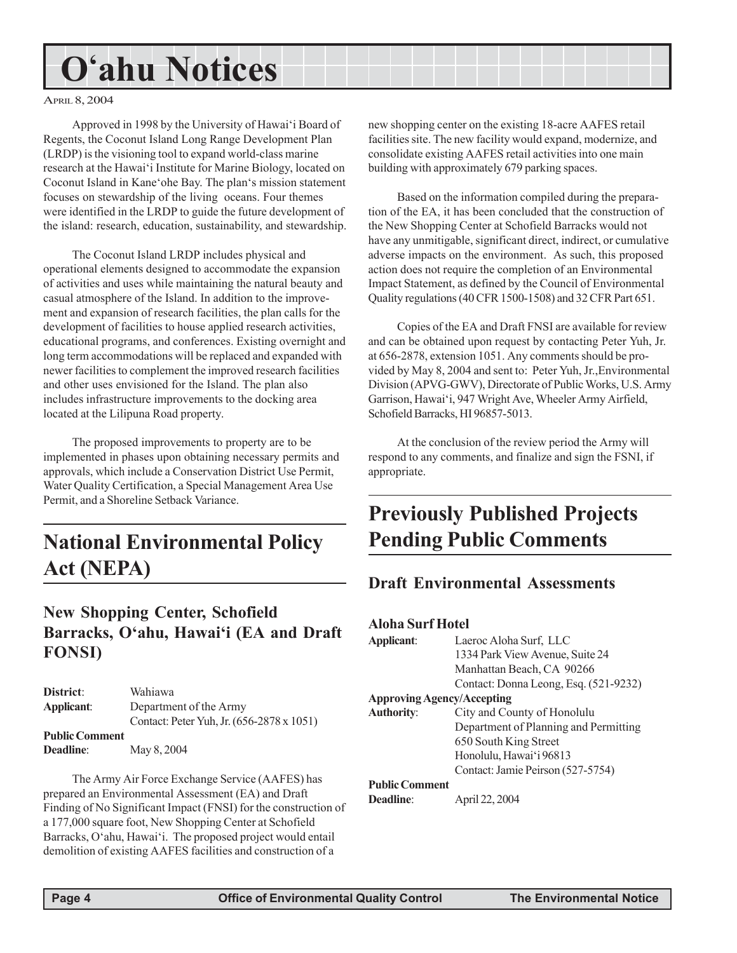# **O'ahu Notices**

#### APRIL 8, 2004

Approved in 1998 by the University of Hawai'i Board of Regents, the Coconut Island Long Range Development Plan (LRDP) is the visioning tool to expand world-class marine research at the Hawai'i Institute for Marine Biology, located on Coconut Island in Kane'ohe Bay. The plan's mission statement focuses on stewardship of the living oceans. Four themes were identified in the LRDP to guide the future development of the island: research, education, sustainability, and stewardship.

The Coconut Island LRDP includes physical and operational elements designed to accommodate the expansion of activities and uses while maintaining the natural beauty and casual atmosphere of the Island. In addition to the improvement and expansion of research facilities, the plan calls for the development of facilities to house applied research activities, educational programs, and conferences. Existing overnight and long term accommodations will be replaced and expanded with newer facilities to complement the improved research facilities and other uses envisioned for the Island. The plan also includes infrastructure improvements to the docking area located at the Lilipuna Road property.

The proposed improvements to property are to be implemented in phases upon obtaining necessary permits and approvals, which include a Conservation District Use Permit, Water Quality Certification, a Special Management Area Use Permit, and a Shoreline Setback Variance.

# **National Environmental Policy Act (NEPA)**

### **New Shopping Center, Schofield Barracks, O'ahu, Hawai'i (EA and Draft FONSI)**

| District:             | Wahiawa                                   |
|-----------------------|-------------------------------------------|
| Applicant:            | Department of the Army                    |
|                       | Contact: Peter Yuh, Jr. (656-2878 x 1051) |
| <b>Public Comment</b> |                                           |
| Deadline:             | May 8, 2004                               |

The Army Air Force Exchange Service (AAFES) has prepared an Environmental Assessment (EA) and Draft Finding of No Significant Impact (FNSI) for the construction of a 177,000 square foot, New Shopping Center at Schofield Barracks, O'ahu, Hawai'i. The proposed project would entail demolition of existing AAFES facilities and construction of a

new shopping center on the existing 18-acre AAFES retail facilities site. The new facility would expand, modernize, and consolidate existing AAFES retail activities into one main building with approximately 679 parking spaces.

Based on the information compiled during the preparation of the EA, it has been concluded that the construction of the New Shopping Center at Schofield Barracks would not have any unmitigable, significant direct, indirect, or cumulative adverse impacts on the environment. As such, this proposed action does not require the completion of an Environmental Impact Statement, as defined by the Council of Environmental Quality regulations (40 CFR 1500-1508) and 32 CFR Part 651.

Copies of the EA and Draft FNSI are available for review and can be obtained upon request by contacting Peter Yuh, Jr. at 656-2878, extension 1051. Any comments should be provided by May 8, 2004 and sent to: Peter Yuh, Jr.,Environmental Division (APVG-GWV), Directorate of Public Works, U.S. Army Garrison, Hawai'i, 947 Wright Ave, Wheeler Army Airfield, Schofield Barracks, HI 96857-5013.

At the conclusion of the review period the Army will respond to any comments, and finalize and sign the FSNI, if appropriate.

# **Previously Published Projects Pending Public Comments**

#### **Draft Environmental Assessments**

#### **Aloha Surf Hotel**

| Applicant:                        | Laeroc Aloha Surf, LLC                |
|-----------------------------------|---------------------------------------|
|                                   | 1334 Park View Avenue, Suite 24       |
|                                   | Manhattan Beach, CA 90266             |
|                                   | Contact: Donna Leong, Esq. (521-9232) |
| <b>Approving Agency/Accepting</b> |                                       |
| <b>Authority:</b>                 | City and County of Honolulu           |
|                                   | Department of Planning and Permitting |
|                                   | 650 South King Street                 |
|                                   | Honolulu, Hawai'i 96813               |
|                                   | Contact: Jamie Peirson (527-5754)     |
| <b>Public Comment</b>             |                                       |
| <b>Deadline:</b>                  | April 22, 2004                        |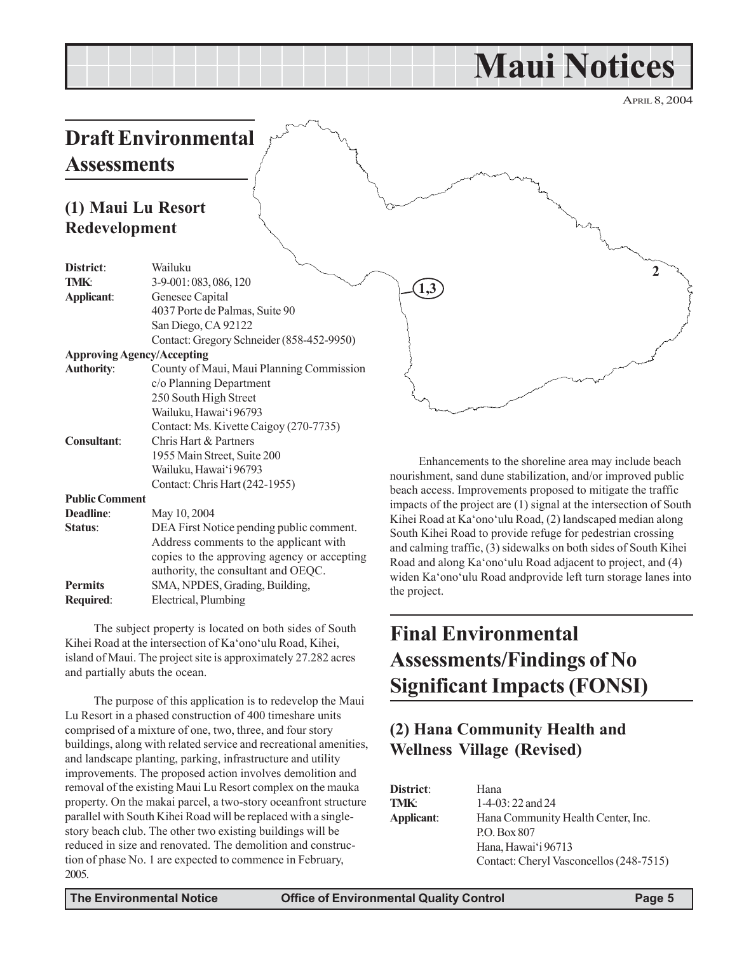# **Maui Notices**

APRIL 8, 2004

**2**

# **Draft Environmental Assessments**

## **(1) Maui Lu Resort Redevelopment**

| District:                         | Wailuku                                     |  |
|-----------------------------------|---------------------------------------------|--|
| <b>TMK:</b>                       | 3-9-001:083,086,120                         |  |
| Applicant:                        | Genesee Capital                             |  |
|                                   | 4037 Porte de Palmas, Suite 90              |  |
|                                   | San Diego, CA 92122                         |  |
|                                   | Contact: Gregory Schneider (858-452-9950)   |  |
| <b>Approving Agency/Accepting</b> |                                             |  |
| <b>Authority:</b>                 | County of Maui, Maui Planning Commission    |  |
|                                   | c/o Planning Department                     |  |
|                                   | 250 South High Street                       |  |
|                                   | Wailuku, Hawai'i 96793                      |  |
|                                   | Contact: Ms. Kivette Caigoy (270-7735)      |  |
| <b>Consultant:</b>                | Chris Hart & Partners                       |  |
|                                   | 1955 Main Street, Suite 200                 |  |
|                                   | Wailuku, Hawai'i 96793                      |  |
|                                   | Contact: Chris Hart (242-1955)              |  |
| <b>Public Comment</b>             |                                             |  |
| Deadline:                         | May 10, 2004                                |  |
| Status:                           | DEA First Notice pending public comment.    |  |
|                                   | Address comments to the applicant with      |  |
|                                   | copies to the approving agency or accepting |  |
|                                   | authority, the consultant and OEQC.         |  |
| <b>Permits</b>                    | SMA, NPDES, Grading, Building,              |  |
| Required:                         | Electrical, Plumbing                        |  |

The subject property is located on both sides of South Kihei Road at the intersection of Ka'ono'ulu Road, Kihei, island of Maui. The project site is approximately 27.282 acres and partially abuts the ocean.

The purpose of this application is to redevelop the Maui Lu Resort in a phased construction of 400 timeshare units comprised of a mixture of one, two, three, and four story buildings, along with related service and recreational amenities, and landscape planting, parking, infrastructure and utility improvements. The proposed action involves demolition and removal of the existing Maui Lu Resort complex on the mauka property. On the makai parcel, a two-story oceanfront structure parallel with South Kihei Road will be replaced with a singlestory beach club. The other two existing buildings will be reduced in size and renovated. The demolition and construction of phase No. 1 are expected to commence in February, 2005.

Enhancements to the shoreline area may include beach nourishment, sand dune stabilization, and/or improved public beach access. Improvements proposed to mitigate the traffic impacts of the project are (1) signal at the intersection of South Kihei Road at Ka'ono'ulu Road, (2) landscaped median along South Kihei Road to provide refuge for pedestrian crossing and calming traffic, (3) sidewalks on both sides of South Kihei Road and along Ka'ono'ulu Road adjacent to project, and (4) widen Ka'ono'ulu Road andprovide left turn storage lanes into the project.

# **Final Environmental Assessments/Findings of No Significant Impacts (FONSI)**

# **(2) Hana Community Health and Wellness Village (Revised)**

| District:   | Hana                                    |
|-------------|-----------------------------------------|
| <b>TMK:</b> | 1-4-03: 22 and 24                       |
| Applicant:  | Hana Community Health Center, Inc.      |
|             | P.O. Box 807                            |
|             | Hana, Hawai'i 96713                     |
|             | Contact: Cheryl Vasconcellos (248-7515) |

**1,3**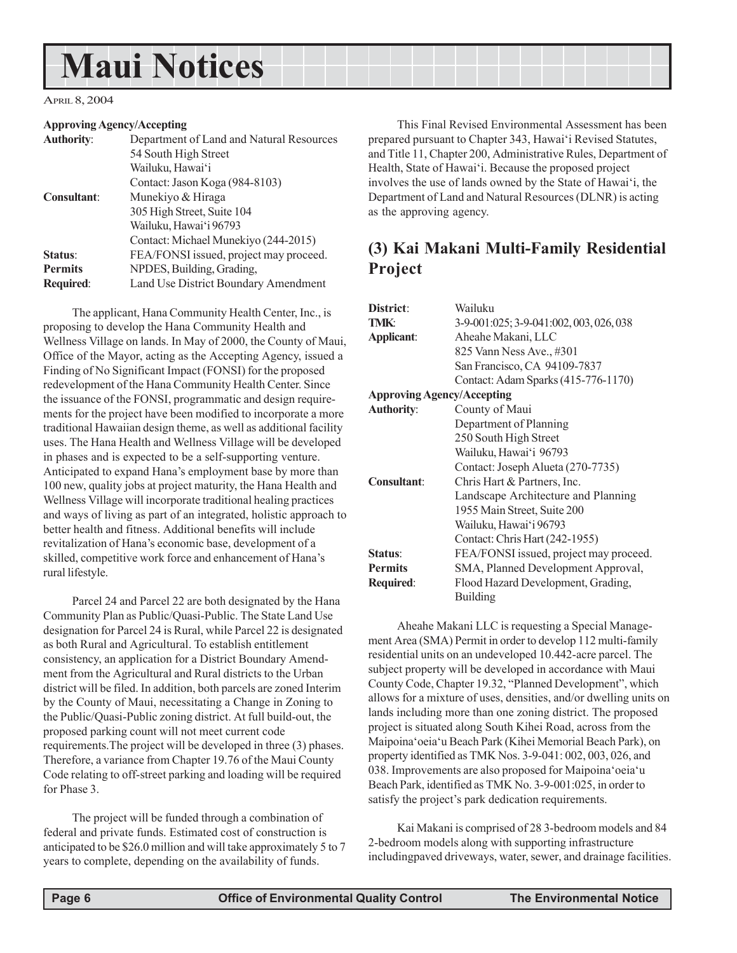# **Maui Notices**

APRIL 8, 2004

#### **Approving Agency/Accepting**

| <b>Authority:</b>  | Department of Land and Natural Resources |
|--------------------|------------------------------------------|
|                    | 54 South High Street                     |
|                    | Wailuku, Hawai'i                         |
|                    | Contact: Jason Koga (984-8103)           |
| <b>Consultant:</b> | Munekiyo & Hiraga                        |
|                    | 305 High Street, Suite 104               |
|                    | Wailuku, Hawai'i 96793                   |
|                    | Contact: Michael Munekiyo (244-2015)     |
| Status:            | FEA/FONSI issued, project may proceed.   |
| <b>Permits</b>     | NPDES, Building, Grading,                |
| <b>Required:</b>   | Land Use District Boundary Amendment     |
|                    |                                          |

The applicant, Hana Community Health Center, Inc., is proposing to develop the Hana Community Health and Wellness Village on lands. In May of 2000, the County of Maui, Office of the Mayor, acting as the Accepting Agency, issued a Finding of No Significant Impact (FONSI) for the proposed redevelopment of the Hana Community Health Center. Since the issuance of the FONSI, programmatic and design requirements for the project have been modified to incorporate a more traditional Hawaiian design theme, as well as additional facility uses. The Hana Health and Wellness Village will be developed in phases and is expected to be a self-supporting venture. Anticipated to expand Hana's employment base by more than 100 new, quality jobs at project maturity, the Hana Health and Wellness Village will incorporate traditional healing practices and ways of living as part of an integrated, holistic approach to better health and fitness. Additional benefits will include revitalization of Hana's economic base, development of a skilled, competitive work force and enhancement of Hana's rural lifestyle.

Parcel 24 and Parcel 22 are both designated by the Hana Community Plan as Public/Quasi-Public. The State Land Use designation for Parcel 24 is Rural, while Parcel 22 is designated as both Rural and Agricultural. To establish entitlement consistency, an application for a District Boundary Amendment from the Agricultural and Rural districts to the Urban district will be filed. In addition, both parcels are zoned Interim by the County of Maui, necessitating a Change in Zoning to the Public/Quasi-Public zoning district. At full build-out, the proposed parking count will not meet current code requirements.The project will be developed in three (3) phases. Therefore, a variance from Chapter 19.76 of the Maui County Code relating to off-street parking and loading will be required for Phase 3.

The project will be funded through a combination of federal and private funds. Estimated cost of construction is anticipated to be \$26.0 million and will take approximately 5 to 7 years to complete, depending on the availability of funds.

This Final Revised Environmental Assessment has been prepared pursuant to Chapter 343, Hawai'i Revised Statutes, and Title 11, Chapter 200, Administrative Rules, Department of Health, State of Hawai'i. Because the proposed project involves the use of lands owned by the State of Hawai'i, the Department of Land and Natural Resources (DLNR) is acting as the approving agency.

# **(3) Kai Makani Multi-Family Residential Project**

| District:                         | Wailuku                                 |
|-----------------------------------|-----------------------------------------|
| <b>TMK:</b>                       | 3-9-001:025; 3-9-041:002, 003, 026, 038 |
| Applicant:                        | Aheahe Makani, LLC                      |
|                                   | 825 Vann Ness Ave., #301                |
|                                   | San Francisco, CA 94109-7837            |
|                                   | Contact: Adam Sparks (415-776-1170)     |
| <b>Approving Agency/Accepting</b> |                                         |
| <b>Authority:</b>                 | County of Maui                          |
|                                   | Department of Planning                  |
|                                   | 250 South High Street                   |
|                                   | Wailuku, Hawai'i 96793                  |
|                                   | Contact: Joseph Alueta (270-7735)       |
| Consultant:                       | Chris Hart & Partners, Inc.             |
|                                   | Landscape Architecture and Planning     |
|                                   | 1955 Main Street, Suite 200             |
|                                   | Wailuku, Hawai'i 96793                  |
|                                   | Contact: Chris Hart (242-1955)          |
| Status:                           | FEA/FONSI issued, project may proceed.  |
| <b>Permits</b>                    | SMA, Planned Development Approval,      |
| Required:                         | Flood Hazard Development, Grading,      |
|                                   | <b>Building</b>                         |

Aheahe Makani LLC is requesting a Special Management Area (SMA) Permit in order to develop 112 multi-family residential units on an undeveloped 10.442-acre parcel. The subject property will be developed in accordance with Maui County Code, Chapter 19.32, "Planned Development", which allows for a mixture of uses, densities, and/or dwelling units on lands including more than one zoning district. The proposed project is situated along South Kihei Road, across from the Maipoina'oeia'u Beach Park (Kihei Memorial Beach Park), on property identified as TMK Nos. 3-9-041: 002, 003, 026, and 038. Improvements are also proposed for Maipoina'oeia'u Beach Park, identified as TMK No. 3-9-001:025, in order to satisfy the project's park dedication requirements.

Kai Makani is comprised of 28 3-bedroom models and 84 2-bedroom models along with supporting infrastructure includingpaved driveways, water, sewer, and drainage facilities.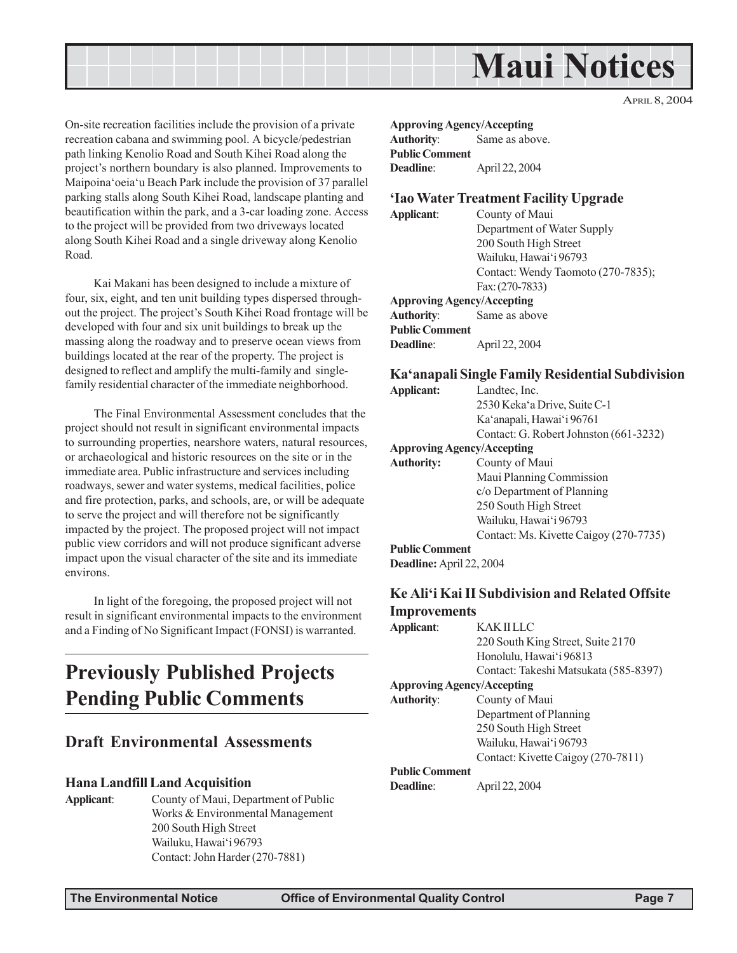

On-site recreation facilities include the provision of a private recreation cabana and swimming pool. A bicycle/pedestrian path linking Kenolio Road and South Kihei Road along the project's northern boundary is also planned. Improvements to Maipoina'oeia'u Beach Park include the provision of 37 parallel parking stalls along South Kihei Road, landscape planting and beautification within the park, and a 3-car loading zone. Access to the project will be provided from two driveways located along South Kihei Road and a single driveway along Kenolio Road.

Kai Makani has been designed to include a mixture of four, six, eight, and ten unit building types dispersed throughout the project. The project's South Kihei Road frontage will be developed with four and six unit buildings to break up the massing along the roadway and to preserve ocean views from buildings located at the rear of the property. The project is designed to reflect and amplify the multi-family and singlefamily residential character of the immediate neighborhood.

The Final Environmental Assessment concludes that the project should not result in significant environmental impacts to surrounding properties, nearshore waters, natural resources, or archaeological and historic resources on the site or in the immediate area. Public infrastructure and services including roadways, sewer and water systems, medical facilities, police and fire protection, parks, and schools, are, or will be adequate to serve the project and will therefore not be significantly impacted by the project. The proposed project will not impact public view corridors and will not produce significant adverse impact upon the visual character of the site and its immediate environs.

In light of the foregoing, the proposed project will not result in significant environmental impacts to the environment and a Finding of No Significant Impact (FONSI) is warranted.

# **Previously Published Projects Pending Public Comments**

#### **Draft Environmental Assessments**

#### **Hana Landfill Land Acquisition**

**Applicant**: County of Maui, Department of Public Works & Environmental Management 200 South High Street Wailuku, Hawai'i 96793 Contact: John Harder (270-7881)

**Approving Agency/Accepting Authority**: Same as above. **Public Comment Deadline**: April 22, 2004

#### **'Iao Water Treatment Facility Upgrade**

**Applicant**: County of Maui Department of Water Supply 200 South High Street Wailuku, Hawai'i 96793 Contact: Wendy Taomoto (270-7835); Fax: (270-7833) **Approving Agency/Accepting Authority**: Same as above **Public Comment Deadline**: April 22, 2004

#### **Ka'anapali Single Family Residential Subdivision**

| <b>Applicant:</b>                 | Landtec, Inc.                          |
|-----------------------------------|----------------------------------------|
|                                   | 2530 Keka'a Drive, Suite C-1           |
|                                   | Ka'anapali, Hawai'i 96761              |
|                                   | Contact: G. Robert Johnston (661-3232) |
| <b>Approving Agency/Accepting</b> |                                        |
| <b>Authority:</b>                 | County of Maui                         |
|                                   | Maui Planning Commission               |
|                                   | c/o Department of Planning             |
|                                   | 250 South High Street                  |
|                                   | Wailuku, Hawai'i 96793                 |
|                                   | Contact: Ms. Kivette Caigoy (270-7735) |
| <b>Public Comment</b>             |                                        |
| $\cdots$                          |                                        |

**Deadline:** April 22, 2004

#### **Ke Ali'i Kai II Subdivision and Related Offsite Improvements Applicant**: KAK II LLC

| <b>Applicant</b> :                | KAK IHJA.                             |
|-----------------------------------|---------------------------------------|
|                                   | 220 South King Street, Suite 2170     |
|                                   | Honolulu, Hawai'i 96813               |
|                                   | Contact: Takeshi Matsukata (585-8397) |
| <b>Approving Agency/Accepting</b> |                                       |
| <b>Authority:</b>                 | County of Maui                        |
|                                   | Department of Planning                |
|                                   | 250 South High Street                 |
|                                   | Wailuku, Hawai'i 96793                |
|                                   | Contact: Kivette Caigoy (270-7811)    |
| <b>Public Comment</b>             |                                       |
| <b>Deadline:</b>                  | April 22, 2004                        |
|                                   |                                       |

APRIL 8, 2004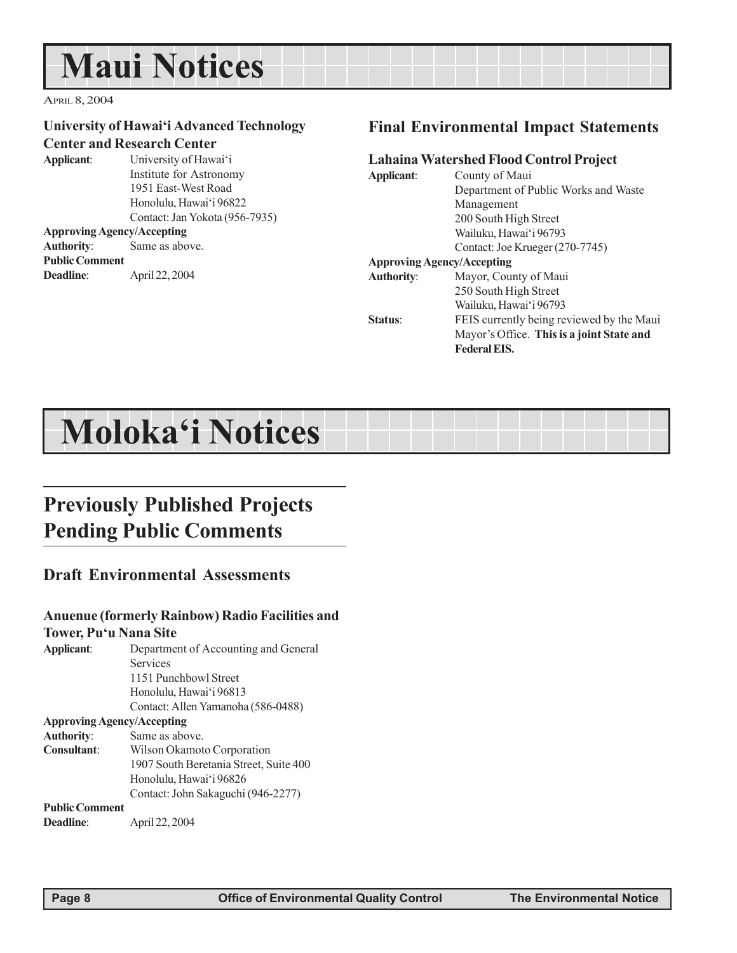# **Maui Notices**

APRIL 8, 2004

#### **University of Hawai'i Advanced Technology Center and Research Center**

**Applicant**: University of Hawai'i Institute for Astronomy 1951 East-West Road Honolulu, Hawai'i 96822

Contact: Jan Yokota (956-7935) **Approving Agency/Accepting Authority**: Same as above. **Public Comment Deadline**: April 22, 2004

#### **Final Environmental Impact Statements**

#### **Lahaina Watershed Flood Control Project**

| Applicant:        | County of Maui                            |
|-------------------|-------------------------------------------|
|                   | Department of Public Works and Waste      |
|                   | Management                                |
|                   | 200 South High Street                     |
|                   | Wailuku, Hawai'i 96793                    |
|                   | Contact: Joe Krueger (270-7745)           |
|                   | <b>Approving Agency/Accepting</b>         |
| <b>Authority:</b> | Mayor, County of Maui                     |
|                   | 250 South High Street                     |
|                   | Wailuku, Hawai'i 96793                    |
| Status:           | FEIS currently being reviewed by the Maui |
|                   | Mayor's Office. This is a joint State and |
|                   | <b>Federal EIS.</b>                       |

# **Moloka'i Notices**

# **Previously Published Projects Pending Public Comments**

### **Draft Environmental Assessments**

### **Anuenue (formerly Rainbow) Radio Facilities and**

#### **Tower, Pu'u Nana Site Applicant**: Department of Accounting and General

Services 1151 Punchbowl Street Honolulu, Hawai'i 96813 Contact: Allen Yamanoha (586-0488) **Approving Agency/Accepting Authority**: Same as above. **Consultant**: Wilson Okamoto Corporation 1907 South Beretania Street, Suite 400 Honolulu, Hawai'i 96826 Contact: John Sakaguchi (946-2277) **Public Comment Deadline**: April 22, 2004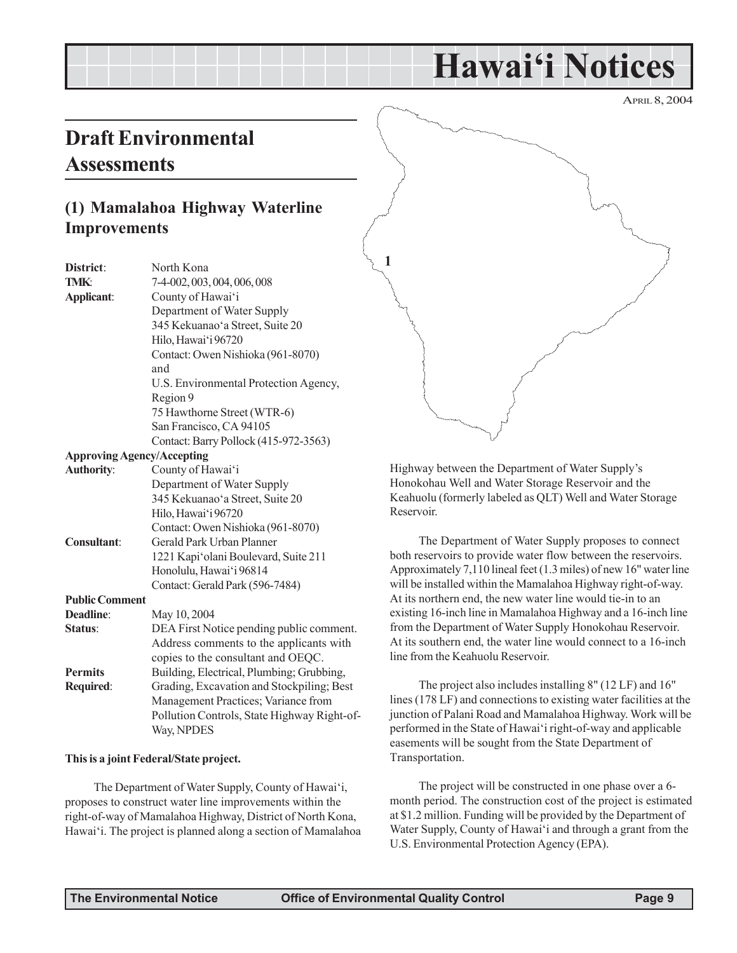# **Hawai'i Notices**

APRIL 8, 2004

# **Draft Environmental Assessments**

# **(1) Mamalahoa Highway Waterline Improvements**

**District**: North Kona **TMK**: 7-4-002, 003, 004, 006, 008 **Applicant**: County of Hawai'i Department of Water Supply 345 Kekuanao'a Street, Suite 20 Hilo, Hawai'i 96720 Contact: Owen Nishioka (961-8070) and U.S. Environmental Protection Agency, Region 9 75 Hawthorne Street (WTR-6) San Francisco, CA 94105 Contact: Barry Pollock (415-972-3563) **Approving Agency/Accepting Authority**: County of Hawai'i Department of Water Supply 345 Kekuanao'a Street, Suite 20 Hilo, Hawai'i 96720 Contact: Owen Nishioka (961-8070) **Consultant**: Gerald Park Urban Planner 1221 Kapi'olani Boulevard, Suite 211 Honolulu, Hawai'i 96814 Contact: Gerald Park (596-7484) **Public Comment Deadline**: May 10, 2004 **Status**: DEA First Notice pending public comment. Address comments to the applicants with copies to the consultant and OEQC. **Permits** Building, Electrical, Plumbing; Grubbing, **Required**: Grading, Excavation and Stockpiling; Best Management Practices; Variance from Pollution Controls, State Highway Right-of-Way, NPDES

#### **This is a joint Federal/State project.**

The Department of Water Supply, County of Hawai'i, proposes to construct water line improvements within the right-of-way of Mamalahoa Highway, District of North Kona, Hawai'i. The project is planned along a section of Mamalahoa



Highway between the Department of Water Supply's Honokohau Well and Water Storage Reservoir and the Keahuolu (formerly labeled as QLT) Well and Water Storage Reservoir.

The Department of Water Supply proposes to connect both reservoirs to provide water flow between the reservoirs. Approximately 7,110 lineal feet (1.3 miles) of new 16" water line will be installed within the Mamalahoa Highway right-of-way. At its northern end, the new water line would tie-in to an existing 16-inch line in Mamalahoa Highway and a 16-inch line from the Department of Water Supply Honokohau Reservoir. At its southern end, the water line would connect to a 16-inch line from the Keahuolu Reservoir.

The project also includes installing 8" (12 LF) and 16" lines (178 LF) and connections to existing water facilities at the junction of Palani Road and Mamalahoa Highway. Work will be performed in the State of Hawai'i right-of-way and applicable easements will be sought from the State Department of Transportation.

The project will be constructed in one phase over a 6 month period. The construction cost of the project is estimated at \$1.2 million. Funding will be provided by the Department of Water Supply, County of Hawai'i and through a grant from the U.S. Environmental Protection Agency (EPA).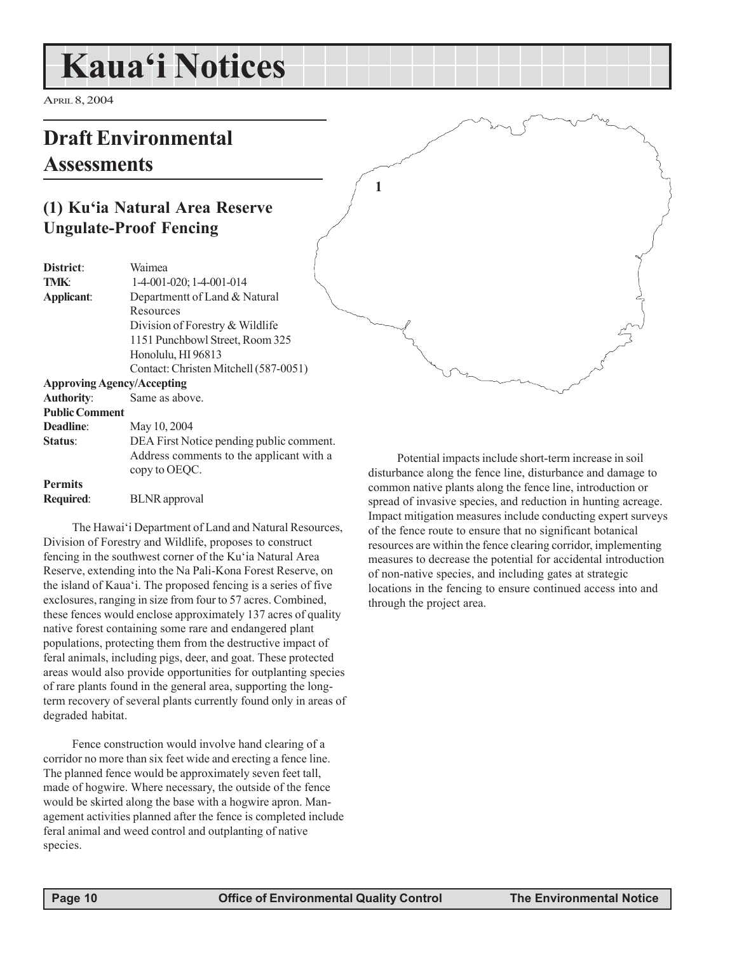# **Kaua'i Notices**

APRIL 8, 2004

# **Draft Environmental Assessments**

# **(1) Ku'ia Natural Area Reserve Ungulate-Proof Fencing**

| District:                         | Waimea                                   |
|-----------------------------------|------------------------------------------|
| <b>TMK:</b>                       | 1-4-001-020; 1-4-001-014                 |
| Applicant:                        | Departmentt of Land & Natural            |
|                                   | Resources                                |
|                                   | Division of Forestry & Wildlife          |
|                                   | 1151 Punchbowl Street, Room 325          |
|                                   | Honolulu, HI 96813                       |
|                                   | Contact: Christen Mitchell (587-0051)    |
| <b>Approving Agency/Accepting</b> |                                          |
| <b>Authority:</b>                 | Same as above.                           |
| <b>Public Comment</b>             |                                          |
| Deadline:                         | May 10, 2004                             |
| Status:                           | DEA First Notice pending public comment. |
|                                   | Address comments to the applicant with a |
|                                   | copy to OEQC.                            |
| <b>Permits</b>                    |                                          |
| <b>Required:</b>                  | <b>BLNR</b> approval                     |

The Hawai'i Department of Land and Natural Resources, Division of Forestry and Wildlife, proposes to construct fencing in the southwest corner of the Ku'ia Natural Area Reserve, extending into the Na Pali-Kona Forest Reserve, on the island of Kaua'i. The proposed fencing is a series of five exclosures, ranging in size from four to 57 acres. Combined, these fences would enclose approximately 137 acres of quality native forest containing some rare and endangered plant populations, protecting them from the destructive impact of feral animals, including pigs, deer, and goat. These protected areas would also provide opportunities for outplanting species of rare plants found in the general area, supporting the longterm recovery of several plants currently found only in areas of degraded habitat.

Fence construction would involve hand clearing of a corridor no more than six feet wide and erecting a fence line. The planned fence would be approximately seven feet tall, made of hogwire. Where necessary, the outside of the fence would be skirted along the base with a hogwire apron. Management activities planned after the fence is completed include feral animal and weed control and outplanting of native species.

Potential impacts include short-term increase in soil disturbance along the fence line, disturbance and damage to common native plants along the fence line, introduction or spread of invasive species, and reduction in hunting acreage. Impact mitigation measures include conducting expert surveys of the fence route to ensure that no significant botanical resources are within the fence clearing corridor, implementing measures to decrease the potential for accidental introduction of non-native species, and including gates at strategic locations in the fencing to ensure continued access into and through the project area.

**1**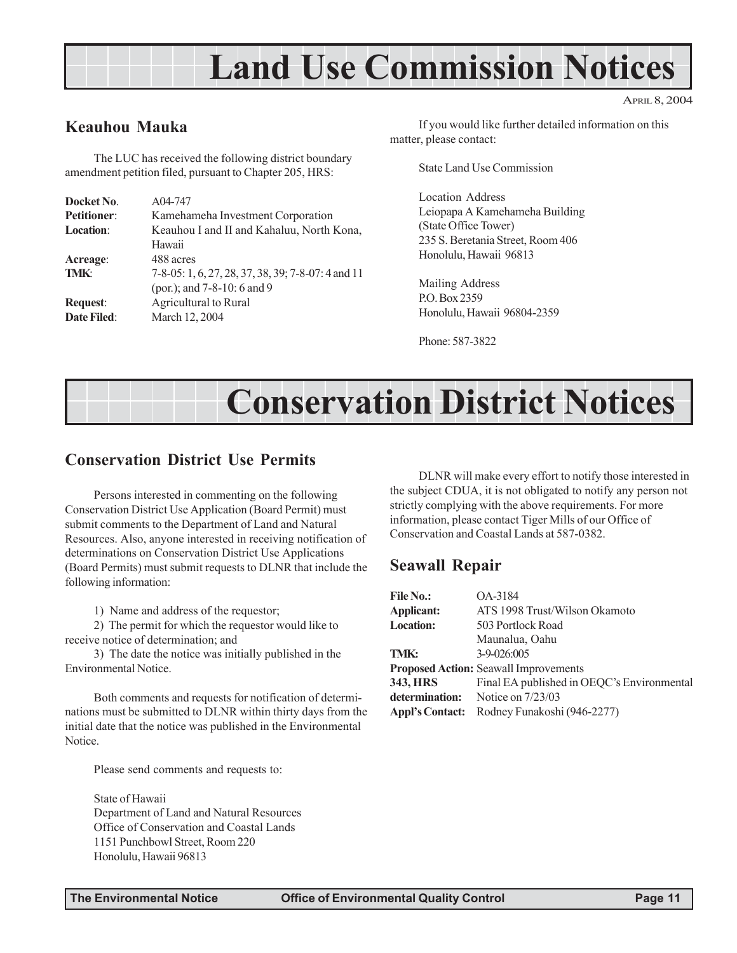# **Land Use Commission Notices**

### **Keauhou Mauka**

The LUC has received the following district boundary amendment petition filed, pursuant to Chapter 205, HRS:

| Docket No.         | A04-747                                            |
|--------------------|----------------------------------------------------|
| <b>Petitioner:</b> | Kamehameha Investment Corporation                  |
| <b>Location:</b>   | Keauhou I and II and Kahaluu, North Kona,          |
|                    | Hawaii                                             |
| Acreage:           | 488 acres                                          |
| TMK:               | 7-8-05: 1, 6, 27, 28, 37, 38, 39; 7-8-07: 4 and 11 |
|                    | (por.); and 7-8-10: 6 and 9                        |
| <b>Request:</b>    | Agricultural to Rural                              |
| <b>Date Filed:</b> | March 12, 2004                                     |

If you would like further detailed information on this matter, please contact:

APRIL 8, 2004

State Land Use Commission

Location Address Leiopapa A Kamehameha Building (State Office Tower) 235 S. Beretania Street, Room 406 Honolulu, Hawaii 96813

Mailing Address P.O. Box 2359 Honolulu, Hawaii 96804-2359

Phone: 587-3822

# **Conservation District Notices**

#### **Conservation District Use Permits**

Persons interested in commenting on the following Conservation District Use Application (Board Permit) must submit comments to the Department of Land and Natural Resources. Also, anyone interested in receiving notification of determinations on Conservation District Use Applications (Board Permits) must submit requests to DLNR that include the following information:

1) Name and address of the requestor;

2) The permit for which the requestor would like to receive notice of determination; and

3) The date the notice was initially published in the Environmental Notice.

Both comments and requests for notification of determinations must be submitted to DLNR within thirty days from the initial date that the notice was published in the Environmental Notice.

Please send comments and requests to:

State of Hawaii Department of Land and Natural Resources Office of Conservation and Coastal Lands 1151 Punchbowl Street, Room 220 Honolulu, Hawaii 96813

DLNR will make every effort to notify those interested in the subject CDUA, it is not obligated to notify any person not strictly complying with the above requirements. For more information, please contact Tiger Mills of our Office of Conservation and Coastal Lands at 587-0382.

#### **Seawall Repair**

| <b>File No.:</b>       | OA-3184                                      |
|------------------------|----------------------------------------------|
| Applicant:             | ATS 1998 Trust/Wilson Okamoto                |
| <b>Location:</b>       | 503 Portlock Road                            |
|                        | Maunalua, Oahu                               |
| TMK:                   | $3-9-026:005$                                |
|                        | <b>Proposed Action: Seawall Improvements</b> |
| 343, HRS               | Final EA published in OEQC's Environmental   |
|                        | <b>determination:</b> Notice on $7/23/03$    |
| <b>Appl's Contact:</b> | Rodney Funakoshi (946-2277)                  |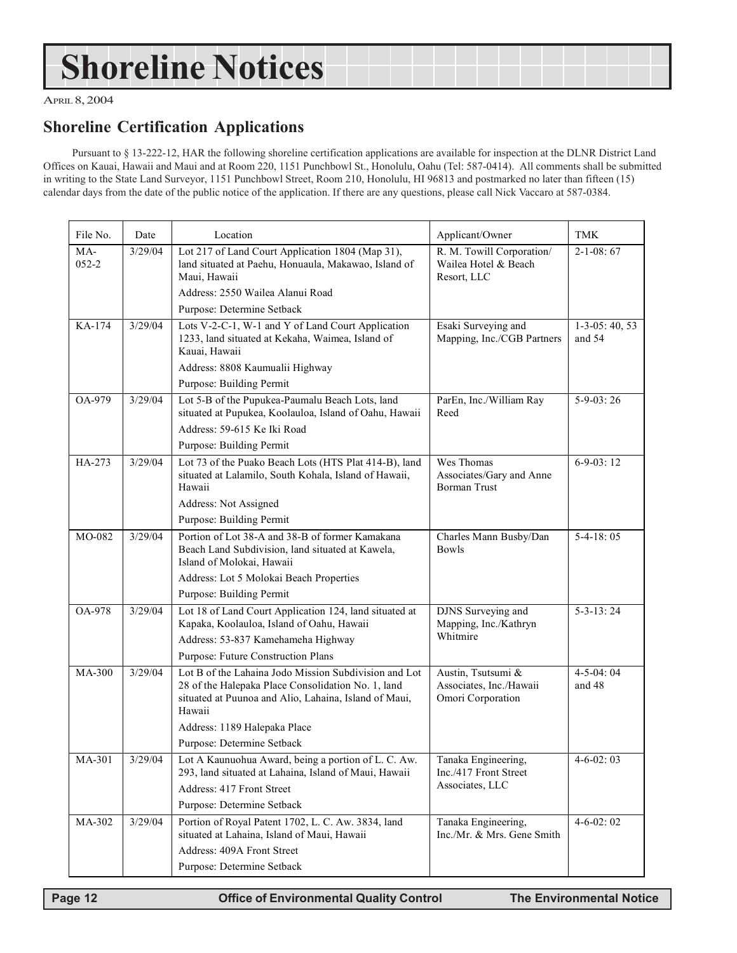# **Shoreline Notices**

APRIL 8, 2004

### **Shoreline Certification Applications**

Pursuant to § 13-222-12, HAR the following shoreline certification applications are available for inspection at the DLNR District Land Offices on Kauai, Hawaii and Maui and at Room 220, 1151 Punchbowl St., Honolulu, Oahu (Tel: 587-0414). All comments shall be submitted in writing to the State Land Surveyor, 1151 Punchbowl Street, Room 210, Honolulu, HI 96813 and postmarked no later than fifteen (15) calendar days from the date of the public notice of the application. If there are any questions, please call Nick Vaccaro at 587-0384.

| File No.         | Date    | Location                                                                                                                                                                       | Applicant/Owner                                                    | <b>TMK</b>                  |
|------------------|---------|--------------------------------------------------------------------------------------------------------------------------------------------------------------------------------|--------------------------------------------------------------------|-----------------------------|
| MA-<br>$052 - 2$ | 3/29/04 | Lot 217 of Land Court Application 1804 (Map 31),<br>land situated at Paehu, Honuaula, Makawao, Island of<br>Maui, Hawaii                                                       | R. M. Towill Corporation/<br>Wailea Hotel & Beach<br>Resort, LLC   | $2-1-08:67$                 |
|                  |         | Address: 2550 Wailea Alanui Road                                                                                                                                               |                                                                    |                             |
|                  |         | Purpose: Determine Setback                                                                                                                                                     |                                                                    |                             |
| KA-174           | 3/29/04 | Lots V-2-C-1, W-1 and Y of Land Court Application<br>1233, land situated at Kekaha, Waimea, Island of<br>Kauai, Hawaii                                                         | Esaki Surveying and<br>Mapping, Inc./CGB Partners                  | $1-3-05:40,53$<br>and 54    |
|                  |         | Address: 8808 Kaumualii Highway                                                                                                                                                |                                                                    |                             |
|                  |         | Purpose: Building Permit                                                                                                                                                       |                                                                    |                             |
| OA-979           | 3/29/04 | Lot 5-B of the Pupukea-Paumalu Beach Lots, land<br>situated at Pupukea, Koolauloa, Island of Oahu, Hawaii                                                                      | ParEn, Inc./William Ray<br>Reed                                    | $5-9-03:26$                 |
|                  |         | Address: 59-615 Ke Iki Road                                                                                                                                                    |                                                                    |                             |
|                  |         | Purpose: Building Permit                                                                                                                                                       |                                                                    |                             |
| HA-273           | 3/29/04 | Lot 73 of the Puako Beach Lots (HTS Plat 414-B), land<br>situated at Lalamilo, South Kohala, Island of Hawaii,<br>Hawaii                                                       | Wes Thomas<br>Associates/Gary and Anne<br><b>Borman Trust</b>      | $6-9-03:12$                 |
|                  |         | Address: Not Assigned                                                                                                                                                          |                                                                    |                             |
|                  |         | Purpose: Building Permit                                                                                                                                                       |                                                                    |                             |
| MO-082           | 3/29/04 | Portion of Lot 38-A and 38-B of former Kamakana<br>Beach Land Subdivision, land situated at Kawela,<br>Island of Molokai, Hawaii                                               | Charles Mann Busby/Dan<br><b>Bowls</b>                             | $5-4-18:05$                 |
|                  |         | Address: Lot 5 Molokai Beach Properties                                                                                                                                        |                                                                    |                             |
|                  |         | Purpose: Building Permit                                                                                                                                                       |                                                                    |                             |
| <b>OA-978</b>    | 3/29/04 | Lot 18 of Land Court Application 124, land situated at<br>Kapaka, Koolauloa, Island of Oahu, Hawaii                                                                            | DJNS Surveying and<br>Mapping, Inc./Kathryn                        | $5 - 3 - 13$ : 24           |
|                  |         | Address: 53-837 Kamehameha Highway                                                                                                                                             | Whitmire                                                           |                             |
|                  |         | Purpose: Future Construction Plans                                                                                                                                             |                                                                    |                             |
| MA-300           | 3/29/04 | Lot B of the Lahaina Jodo Mission Subdivision and Lot<br>28 of the Halepaka Place Consolidation No. 1, land<br>situated at Puunoa and Alio, Lahaina, Island of Maui,<br>Hawaii | Austin, Tsutsumi &<br>Associates, Inc./Hawaii<br>Omori Corporation | $4 - 5 - 04$ : 04<br>and 48 |
|                  |         | Address: 1189 Halepaka Place                                                                                                                                                   |                                                                    |                             |
|                  |         | Purpose: Determine Setback                                                                                                                                                     |                                                                    |                             |
| MA-301           | 3/29/04 | Lot A Kaunuohua Award, being a portion of L. C. Aw.<br>293, land situated at Lahaina, Island of Maui, Hawaii                                                                   | Tanaka Engineering,<br>Inc./417 Front Street                       | $4 - 6 - 02:03$             |
|                  |         | Address: 417 Front Street                                                                                                                                                      | Associates, LLC                                                    |                             |
|                  |         | Purpose: Determine Setback                                                                                                                                                     |                                                                    |                             |
| MA-302           | 3/29/04 | Portion of Royal Patent 1702, L. C. Aw. 3834, land<br>situated at Lahaina, Island of Maui, Hawaii                                                                              | Tanaka Engineering,<br>Inc./Mr. & Mrs. Gene Smith                  | $4-6-02:02$                 |
|                  |         | Address: 409A Front Street                                                                                                                                                     |                                                                    |                             |
|                  |         | Purpose: Determine Setback                                                                                                                                                     |                                                                    |                             |

 **Page 12 Control Control Control Control Page 12 Control Page 12 The Environmental Notice**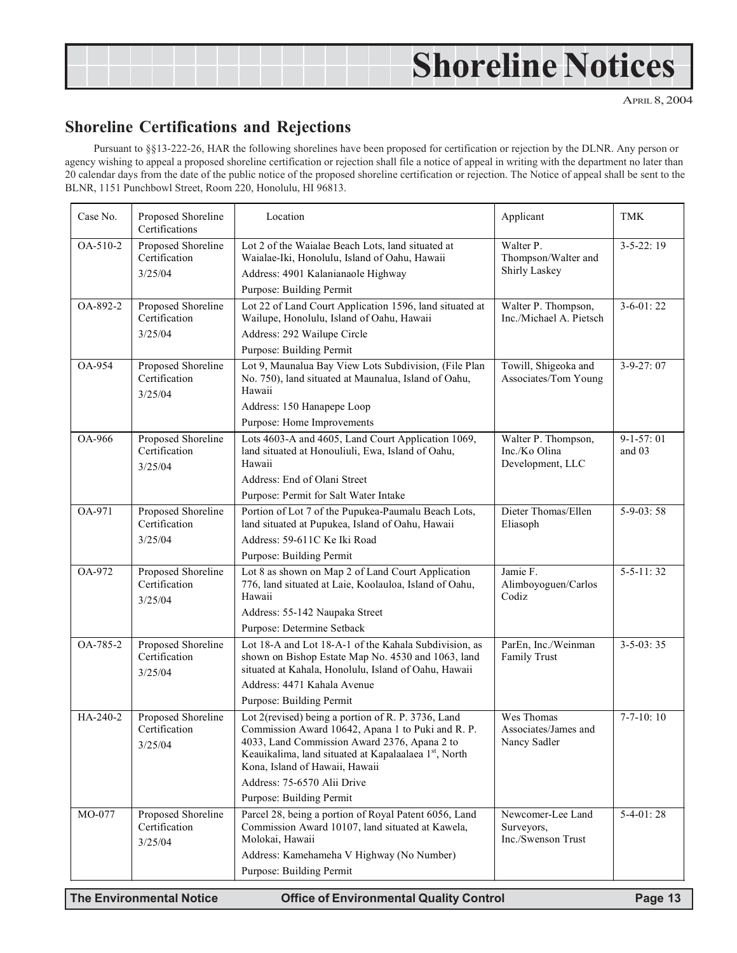# **Shoreline Notices**

APRIL 8, 2004

# **Shoreline Certifications and Rejections**

Pursuant to §§13-222-26, HAR the following shorelines have been proposed for certification or rejection by the DLNR. Any person or agency wishing to appeal a proposed shoreline certification or rejection shall file a notice of appeal in writing with the department no later than 20 calendar days from the date of the public notice of the proposed shoreline certification or rejection. The Notice of appeal shall be sent to the BLNR, 1151 Punchbowl Street, Room 220, Honolulu, HI 96813.

| Case No.      | Proposed Shoreline<br>Certifications           | Location                                                                                                                                                                                                                                                                         | Applicant                                                | <b>TMK</b>              |
|---------------|------------------------------------------------|----------------------------------------------------------------------------------------------------------------------------------------------------------------------------------------------------------------------------------------------------------------------------------|----------------------------------------------------------|-------------------------|
| OA-510-2      | Proposed Shoreline<br>Certification<br>3/25/04 | Lot 2 of the Waialae Beach Lots, land situated at<br>Waialae-Iki, Honolulu, Island of Oahu, Hawaii<br>Address: 4901 Kalanianaole Highway                                                                                                                                         | Walter P.<br>Thompson/Walter and<br>Shirly Laskey        | $3-5-22:19$             |
|               |                                                | Purpose: Building Permit                                                                                                                                                                                                                                                         |                                                          |                         |
| OA-892-2      | Proposed Shoreline<br>Certification            | Lot 22 of Land Court Application 1596, land situated at<br>Wailupe, Honolulu, Island of Oahu, Hawaii                                                                                                                                                                             | Walter P. Thompson,<br>Inc./Michael A. Pietsch           | $3-6-01:22$             |
|               | 3/25/04                                        | Address: 292 Wailupe Circle                                                                                                                                                                                                                                                      |                                                          |                         |
|               |                                                | Purpose: Building Permit                                                                                                                                                                                                                                                         |                                                          |                         |
| OA-954        | Proposed Shoreline<br>Certification<br>3/25/04 | Lot 9, Maunalua Bay View Lots Subdivision, (File Plan<br>No. 750), land situated at Maunalua, Island of Oahu,<br>Hawaii<br>Address: 150 Hanapepe Loop                                                                                                                            | Towill, Shigeoka and<br>Associates/Tom Young             | $3-9-27:07$             |
|               |                                                | Purpose: Home Improvements                                                                                                                                                                                                                                                       |                                                          |                         |
| <b>OA-966</b> | Proposed Shoreline<br>Certification<br>3/25/04 | Lots 4603-A and 4605, Land Court Application 1069,<br>land situated at Honouliuli, Ewa, Island of Oahu,<br>Hawaii<br>Address: End of Olani Street<br>Purpose: Permit for Salt Water Intake                                                                                       | Walter P. Thompson,<br>Inc./Ko Olina<br>Development, LLC | $9-1-57:01$<br>and $03$ |
| OA-971        | Proposed Shoreline                             | Portion of Lot 7 of the Pupukea-Paumalu Beach Lots,                                                                                                                                                                                                                              | Dieter Thomas/Ellen                                      | $5-9-03:58$             |
|               | Certification                                  | land situated at Pupukea, Island of Oahu, Hawaii                                                                                                                                                                                                                                 | Eliasoph                                                 |                         |
|               | 3/25/04                                        | Address: 59-611C Ke Iki Road                                                                                                                                                                                                                                                     |                                                          |                         |
|               |                                                | Purpose: Building Permit                                                                                                                                                                                                                                                         |                                                          |                         |
| OA-972        | Proposed Shoreline<br>Certification<br>3/25/04 | Lot 8 as shown on Map 2 of Land Court Application<br>776, land situated at Laie, Koolauloa, Island of Oahu,<br>Hawaii                                                                                                                                                            | Jamie F.<br>Alimboyoguen/Carlos<br>Codiz                 | $5 - 5 - 11:32$         |
|               |                                                | Address: 55-142 Naupaka Street                                                                                                                                                                                                                                                   |                                                          |                         |
|               |                                                | Purpose: Determine Setback                                                                                                                                                                                                                                                       |                                                          |                         |
| OA-785-2      | Proposed Shoreline<br>Certification<br>3/25/04 | Lot 18-A and Lot 18-A-1 of the Kahala Subdivision, as<br>shown on Bishop Estate Map No. 4530 and 1063, land<br>situated at Kahala, Honolulu, Island of Oahu, Hawaii                                                                                                              | ParEn, Inc./Weinman<br><b>Family Trust</b>               | $3 - 5 - 03$ : 35       |
|               |                                                | Address: 4471 Kahala Avenue                                                                                                                                                                                                                                                      |                                                          |                         |
|               |                                                | Purpose: Building Permit                                                                                                                                                                                                                                                         |                                                          |                         |
| HA-240-2      | Proposed Shoreline<br>Certification<br>3/25/04 | Lot 2(revised) being a portion of R. P. 3736, Land<br>Commission Award 10642, Apana 1 to Puki and R. P.<br>4033, Land Commission Award 2376, Apana 2 to<br>Keauikalima, land situated at Kapalaalaea 1st, North<br>Kona, Island of Hawaii, Hawaii<br>Address: 75-6570 Alii Drive | Wes Thomas<br>Associates/James and<br>Nancy Sadler       | $7 - 7 - 10:10$         |
|               |                                                |                                                                                                                                                                                                                                                                                  |                                                          |                         |
| MO-077        | Proposed Shoreline                             | Purpose: Building Permit<br>Parcel 28, being a portion of Royal Patent 6056, Land                                                                                                                                                                                                | Newcomer-Lee Land                                        | $5-4-01:28$             |
|               | Certification<br>3/25/04                       | Commission Award 10107, land situated at Kawela,<br>Molokai, Hawaii                                                                                                                                                                                                              | Surveyors,<br>Inc./Swenson Trust                         |                         |
|               |                                                | Address: Kamehameha V Highway (No Number)                                                                                                                                                                                                                                        |                                                          |                         |
|               |                                                | Purpose: Building Permit                                                                                                                                                                                                                                                         |                                                          |                         |

**The Environmental Notice <b>Office of Environmental Quality Control Page 13**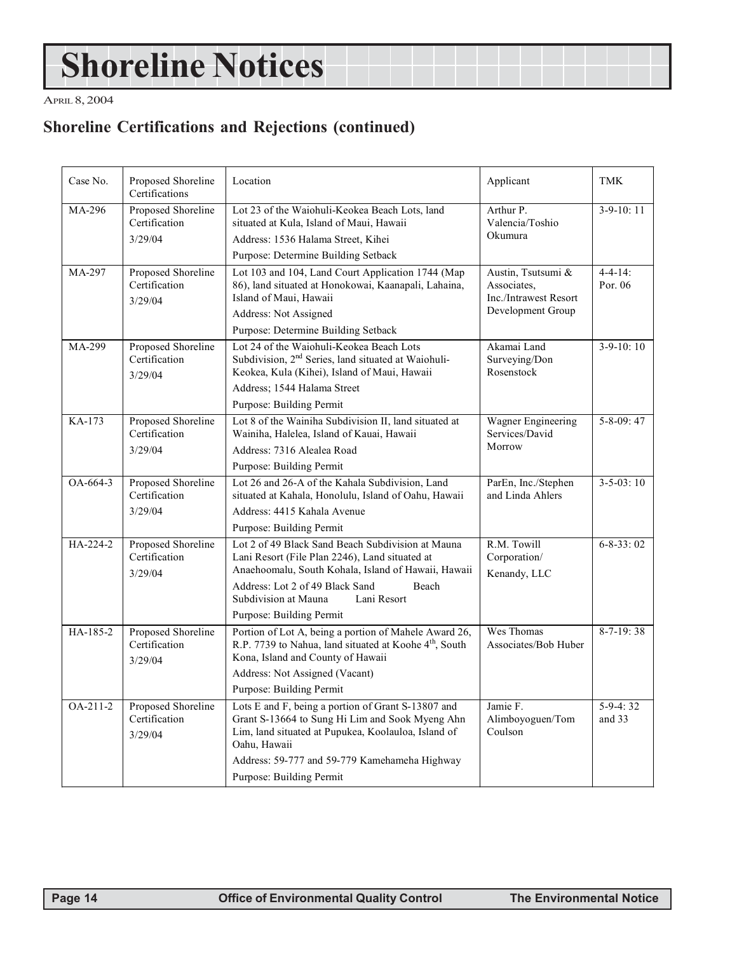# **Shoreline Notices**

APRIL 8, 2004

# **Shoreline Certifications and Rejections (continued)**

| Case No.   | Proposed Shoreline<br>Certifications           | Location                                                                                                                                                                                                                                                                  | Applicant                                                                       | TMK                       |
|------------|------------------------------------------------|---------------------------------------------------------------------------------------------------------------------------------------------------------------------------------------------------------------------------------------------------------------------------|---------------------------------------------------------------------------------|---------------------------|
| MA-296     | Proposed Shoreline<br>Certification<br>3/29/04 | Lot 23 of the Waiohuli-Keokea Beach Lots, land<br>situated at Kula, Island of Maui, Hawaii<br>Address: 1536 Halama Street, Kihei<br>Purpose: Determine Building Setback                                                                                                   | Arthur P.<br>Valencia/Toshio<br>Okumura                                         | $3-9-10:11$               |
| MA-297     | Proposed Shoreline<br>Certification<br>3/29/04 | Lot 103 and 104, Land Court Application 1744 (Map<br>86), land situated at Honokowai, Kaanapali, Lahaina,<br>Island of Maui, Hawaii<br>Address: Not Assigned<br>Purpose: Determine Building Setback                                                                       | Austin, Tsutsumi &<br>Associates,<br>Inc./Intrawest Resort<br>Development Group | $4 - 4 - 14$ :<br>Por. 06 |
| MA-299     | Proposed Shoreline<br>Certification<br>3/29/04 | Lot 24 of the Waiohuli-Keokea Beach Lots<br>Subdivision, 2 <sup>nd</sup> Series, land situated at Waiohuli-<br>Keokea, Kula (Kihei), Island of Maui, Hawaii<br>Address: 1544 Halama Street<br>Purpose: Building Permit                                                    | Akamai Land<br>Surveying/Don<br>Rosenstock                                      | $3-9-10:10$               |
| KA-173     | Proposed Shoreline<br>Certification<br>3/29/04 | Lot 8 of the Wainiha Subdivision II, land situated at<br>Wainiha, Halelea, Island of Kauai, Hawaii<br>Address: 7316 Alealea Road<br>Purpose: Building Permit                                                                                                              | Wagner Engineering<br>Services/David<br>Morrow                                  | $5 - 8 - 09$ : 47         |
| OA-664-3   | Proposed Shoreline<br>Certification<br>3/29/04 | Lot 26 and 26-A of the Kahala Subdivision, Land<br>situated at Kahala, Honolulu, Island of Oahu, Hawaii<br>Address: 4415 Kahala Avenue<br>Purpose: Building Permit                                                                                                        | ParEn, Inc./Stephen<br>and Linda Ahlers                                         | $3 - 5 - 03$ : 10         |
| HA-224-2   | Proposed Shoreline<br>Certification<br>3/29/04 | Lot 2 of 49 Black Sand Beach Subdivision at Mauna<br>Lani Resort (File Plan 2246), Land situated at<br>Anaehoomalu, South Kohala, Island of Hawaii, Hawaii<br>Address: Lot 2 of 49 Black Sand<br>Beach<br>Subdivision at Mauna<br>Lani Resort<br>Purpose: Building Permit | R.M. Towill<br>Corporation/<br>Kenandy, LLC                                     | $6 - 8 - 33:02$           |
| HA-185-2   | Proposed Shoreline<br>Certification<br>3/29/04 | Portion of Lot A, being a portion of Mahele Award 26,<br>R.P. 7739 to Nahua, land situated at Koohe 4 <sup>th</sup> , South<br>Kona, Island and County of Hawaii<br>Address: Not Assigned (Vacant)<br>Purpose: Building Permit                                            | Wes Thomas<br>Associates/Bob Huber                                              | $8 - 7 - 19$ : 38         |
| $OA-211-2$ | Proposed Shoreline<br>Certification<br>3/29/04 | Lots E and F, being a portion of Grant S-13807 and<br>Grant S-13664 to Sung Hi Lim and Sook Myeng Ahn<br>Lim, land situated at Pupukea, Koolauloa, Island of<br>Oahu, Hawaii<br>Address: 59-777 and 59-779 Kamehameha Highway<br>Purpose: Building Permit                 | Jamie F.<br>Alimboyoguen/Tom<br>Coulson                                         | $5-9-4:32$<br>and 33      |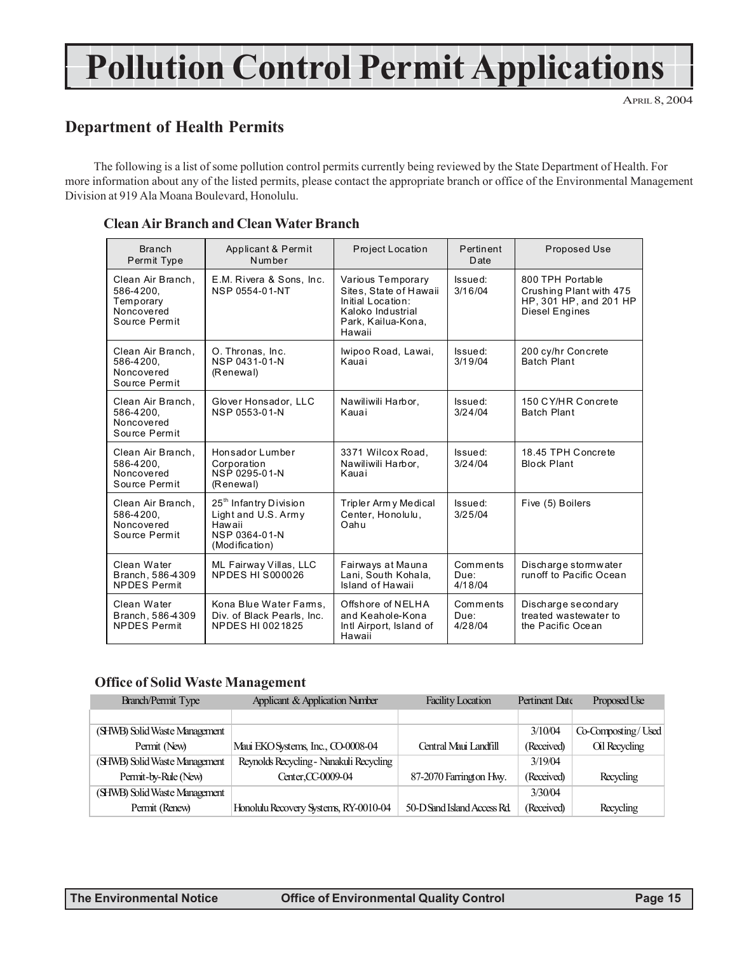# **Pollution Control Permit Applications**

APRIL 8, 2004

### **Department of Health Permits**

The following is a list of some pollution control permits currently being reviewed by the State Department of Health. For more information about any of the listed permits, please contact the appropriate branch or office of the Environmental Management Division at 919 Ala Moana Boulevard, Honolulu.

| <b>Branch</b><br>Permit Type                                               | Applicant & Permit<br>Number                                                                           | Project Location                                                                                                      | Pertinent<br>Date           | Proposed Use                                                                                   |
|----------------------------------------------------------------------------|--------------------------------------------------------------------------------------------------------|-----------------------------------------------------------------------------------------------------------------------|-----------------------------|------------------------------------------------------------------------------------------------|
| Clean Air Branch.<br>586-4200.<br>Temporary<br>Noncovered<br>Source Permit | E.M. Rivera & Sons, Inc.<br>NSP 0554-01-NT                                                             | Various Temporary<br>Sites, State of Hawaii<br>Initial Location:<br>Kaloko Industrial<br>Park, Kailua-Kona,<br>Hawaii | Issued:<br>3/16/04          | 800 TPH Portable<br>Crushing Plant with 475<br>HP, 301 HP, and 201 HP<br><b>Diesel Engines</b> |
| Clean Air Branch,<br>586-4200.<br>Noncovered<br>Source Permit              | O. Thronas, Inc.<br>NSP 0431-01-N<br>(Renewal)                                                         | Iwipoo Road, Lawai,<br>Kauai                                                                                          | Issued:<br>3/19/04          | 200 cy/hr Concrete<br>Batch Plant                                                              |
| Clean Air Branch,<br>586-4200,<br>Noncovered<br>Source Permit              | Glover Honsador, LLC<br>NSP 0553-01-N                                                                  | Nawiliwili Harbor,<br>Kauai                                                                                           | Issued:<br>3/24/04          | 150 CY/HR Concrete<br><b>Batch Plant</b>                                                       |
| Clean Air Branch,<br>586-4200.<br>Noncovered<br>Source Permit              | Honsador Lumber<br>Corporation<br>NSP 0295-01-N<br>(Renewal)                                           | 3371 Wilcox Road.<br>Nawiliwili Harbor,<br>Kauai                                                                      | Issued:<br>3/24/04          | 18.45 TPH Concrete<br><b>Block Plant</b>                                                       |
| Clean Air Branch,<br>586-4200.<br>Noncovered<br>Source Permit              | 25 <sup>th</sup> Infantry Division<br>Light and U.S. Army<br>Hawaii<br>NSP 0364-01-N<br>(Modification) | Tripler Arm y Medical<br>Center, Honolulu,<br>Oahu                                                                    | Issued:<br>3/25/04          | Five (5) Boilers                                                                               |
| Clean Water<br>Branch. 586-4309<br><b>NPDES Permit</b>                     | ML Fairway Villas, LLC<br>NPDES HIS000026                                                              | Fairways at Mauna<br>Lani, South Kohala,<br>Island of Hawaii                                                          | Comments<br>Due:<br>4/18/04 | Discharge stormwater<br>run off to Pacific Ocean                                               |
| Clean Water<br>Branch, 586-4309<br><b>NPDES Permit</b>                     | Kona Blue Water Farms,<br>Div. of Black Pearls, Inc.<br>NPDES HI 0021825                               | Offshore of NELHA<br>and Keahole-Kona<br>Intl Airport, Island of<br>Hawaii                                            | Comments<br>Due:<br>4/28/04 | Discharge secondary<br>treated wastewater to<br>the Pacific Ocean                              |

#### **Clean Air Branch and Clean Water Branch**

#### **Office of Solid Waste Management**

| <b>Branch/Permit Type</b>     | Applicant & Application Number          | <b>Facility Location</b>   | Pertinent Date | Proposed Use       |
|-------------------------------|-----------------------------------------|----------------------------|----------------|--------------------|
|                               |                                         |                            |                |                    |
| (SHWB) Solid Waste Management |                                         |                            | 3/10/04        | Co-Composting/Used |
| Permit (New)                  | Maui EKO Systems, Inc., CO-0008-04      | Central Maui Landfill      | (Received)     | Oil Recycling      |
| (SHWB) Solid Waste Management | Reynolds Recycling - Nanakuli Recycling |                            | 3/19/04        |                    |
| Permit-by-Rule (New)          | Center, CC-0009-04                      | 87-2070 Farrington Hwy.    | (Received)     | Recycling          |
| (SHWB) Solid Waste Management |                                         |                            | 3/30/04        |                    |
| Permit (Renew)                | Honolulu Recovery Systems, RY-0010-04   | 50-D Sand Island Access Rd | (Received)     | Recycling          |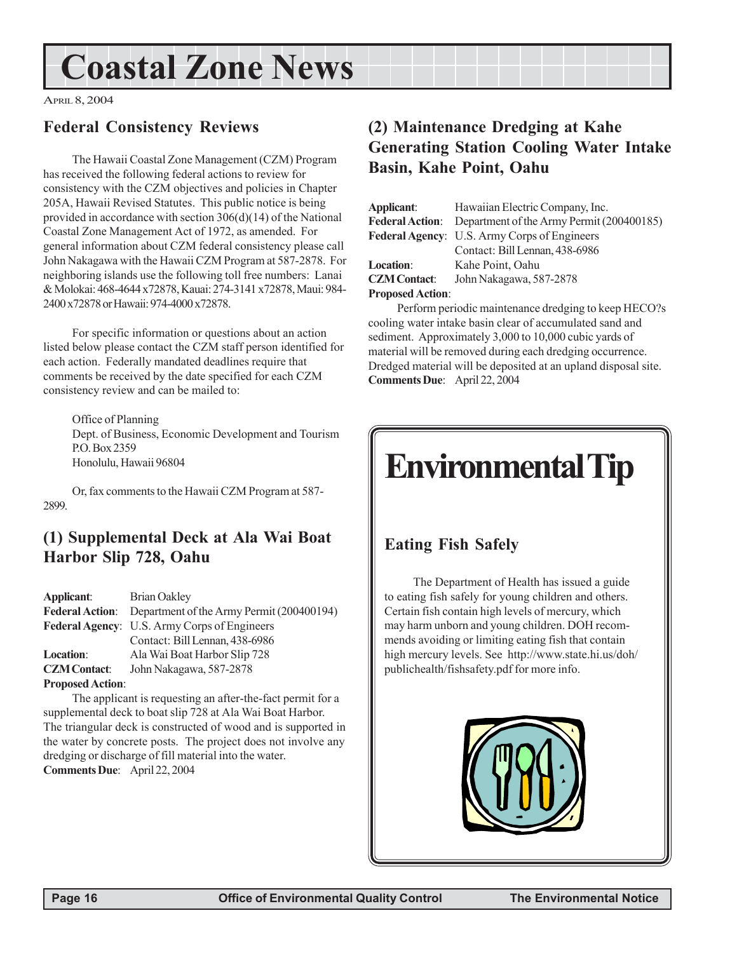# **Coastal Zone News**

APRIL 8, 2004

# **Federal Consistency Reviews**

The Hawaii Coastal Zone Management (CZM) Program has received the following federal actions to review for consistency with the CZM objectives and policies in Chapter 205A, Hawaii Revised Statutes. This public notice is being provided in accordance with section 306(d)(14) of the National Coastal Zone Management Act of 1972, as amended. For general information about CZM federal consistency please call John Nakagawa with the Hawaii CZM Program at 587-2878. For neighboring islands use the following toll free numbers: Lanai & Molokai: 468-4644 x72878, Kauai: 274-3141 x72878, Maui: 984- 2400 x72878 or Hawaii: 974-4000 x72878.

For specific information or questions about an action listed below please contact the CZM staff person identified for each action. Federally mandated deadlines require that comments be received by the date specified for each CZM consistency review and can be mailed to:

Office of Planning Dept. of Business, Economic Development and Tourism P.O. Box 2359 Honolulu, Hawaii 96804

Or, fax comments to the Hawaii CZM Program at 587- 2899.

# **(1) Supplemental Deck at Ala Wai Boat Harbor Slip 728, Oahu**

| Applicant:              | Brian Oakley                                 |
|-------------------------|----------------------------------------------|
| <b>Federal Action:</b>  | Department of the Army Permit (200400194)    |
|                         | Federal Agency: U.S. Army Corps of Engineers |
|                         | Contact: Bill Lennan, 438-6986               |
| Location:               | Ala Wai Boat Harbor Slip 728                 |
| <b>CZM Contact:</b>     | John Nakagawa, 587-2878                      |
| <b>Proposed Action:</b> |                                              |

The applicant is requesting an after-the-fact permit for a supplemental deck to boat slip 728 at Ala Wai Boat Harbor. The triangular deck is constructed of wood and is supported in the water by concrete posts. The project does not involve any dredging or discharge of fill material into the water. **Comments Due**: April 22, 2004

# **(2) Maintenance Dredging at Kahe Generating Station Cooling Water Intake Basin, Kahe Point, Oahu**

| Applicant:              | Hawaiian Electric Company, Inc.              |
|-------------------------|----------------------------------------------|
| <b>Federal Action:</b>  | Department of the Army Permit (200400185)    |
|                         | Federal Agency: U.S. Army Corps of Engineers |
|                         | Contact: Bill Lennan, 438-6986               |
| Location:               | Kahe Point, Oahu                             |
| <b>CZM Contact:</b>     | John Nakagawa, 587-2878                      |
| <b>Proposed Action:</b> |                                              |

Perform periodic maintenance dredging to keep HECO?s cooling water intake basin clear of accumulated sand and sediment. Approximately 3,000 to 10,000 cubic yards of material will be removed during each dredging occurrence. Dredged material will be deposited at an upland disposal site. **Comments Due**: April 22, 2004

# **Environmental Tip**

# **Eating Fish Safely**

The Department of Health has issued a guide to eating fish safely for young children and others. Certain fish contain high levels of mercury, which may harm unborn and young children. DOH recommends avoiding or limiting eating fish that contain high mercury levels. See http://www.state.hi.us/doh/ publichealth/fishsafety.pdf for more info.